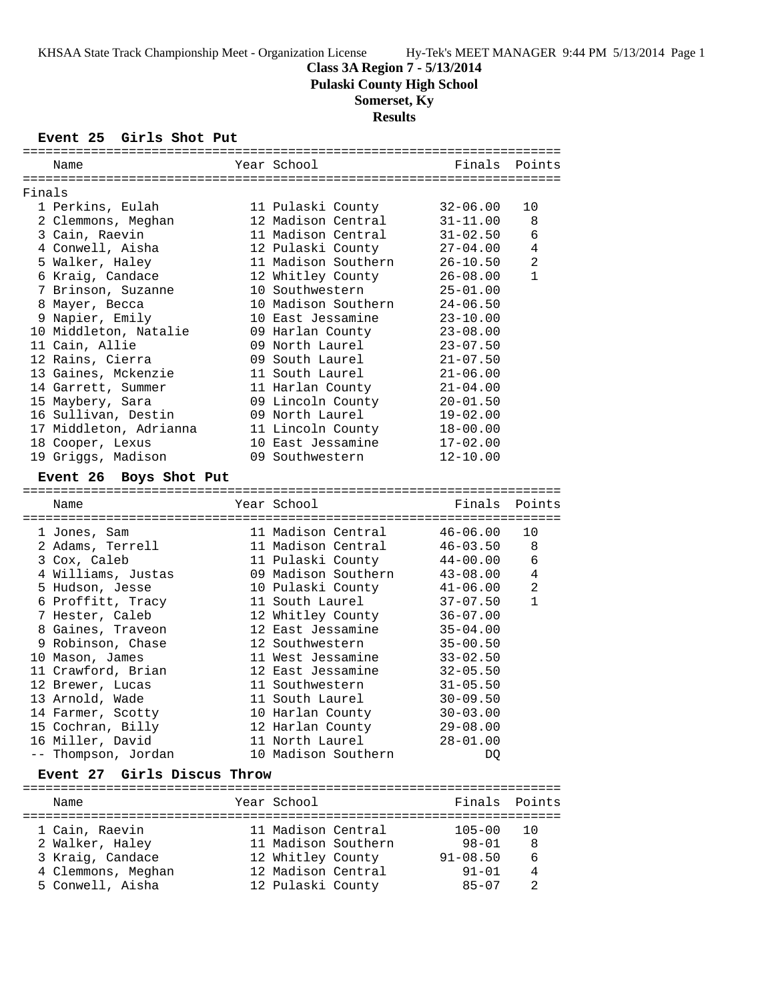## **Class 3A Region 7 - 5/13/2014**

**Pulaski County High School**

# **Somerset, Ky**

## **Results**

#### **Event 25 Girls Shot Put**

|        | Name                                   | Year School                             | Finals                 | Points       |
|--------|----------------------------------------|-----------------------------------------|------------------------|--------------|
|        |                                        |                                         |                        |              |
| Finals |                                        |                                         |                        |              |
|        | 1 Perkins, Eulah                       | 11 Pulaski County                       | $32 - 06.00$           | 10           |
|        | 2 Clemmons, Meghan                     | 12 Madison Central                      | $31 - 11.00$           | 8            |
|        | 3 Cain, Raevin                         | 11 Madison Central                      | $31 - 02.50$           | 6            |
|        | 4 Conwell, Aisha                       | 12 Pulaski County                       | $27 - 04.00$           | 4            |
|        | 5 Walker, Haley                        | 11 Madison Southern                     | $26 - 10.50$           | 2            |
|        | 6 Kraig, Candace                       | 12 Whitley County                       | $26 - 08.00$           | $\mathbf{1}$ |
|        | 7 Brinson, Suzanne                     | 10 Southwestern                         | $25 - 01.00$           |              |
|        | 8 Mayer, Becca                         | 10 Madison Southern                     | $24 - 06.50$           |              |
|        | 9 Napier, Emily                        | 10 East Jessamine                       | $23 - 10.00$           |              |
|        | 10 Middleton, Natalie                  | 09 Harlan County                        | $23 - 08.00$           |              |
|        | 11 Cain, Allie                         | 09 North Laurel                         | $23 - 07.50$           |              |
|        | 12 Rains, Cierra                       | 09 South Laurel                         | $21 - 07.50$           |              |
|        | 13 Gaines, Mckenzie                    | 11 South Laurel                         | $21 - 06.00$           |              |
|        | 14 Garrett, Summer                     | 11 Harlan County                        | $21 - 04.00$           |              |
|        | 15 Maybery, Sara                       | 09 Lincoln County                       | $20 - 01.50$           |              |
|        | 16 Sullivan, Destin                    | 09 North Laurel                         | $19 - 02.00$           |              |
|        | 17 Middleton, Adrianna                 | 11 Lincoln County                       | $18 - 00.00$           |              |
|        | 18 Cooper, Lexus                       | 10 East Jessamine                       | $17 - 02.00$           |              |
|        | 19 Griggs, Madison                     | 09 Southwestern                         | $12 - 10.00$           |              |
|        |                                        |                                         |                        |              |
|        | Event 26 Boys Shot Put                 |                                         |                        |              |
|        |                                        |                                         |                        |              |
|        | Name                                   | Year School                             | Finals                 | Points       |
|        |                                        |                                         |                        |              |
|        | 1 Jones, Sam                           | 11 Madison Central                      | $46 - 06.00$           | $10 \,$      |
|        | 2 Adams, Terrell                       | 11 Madison Central                      | $46 - 03.50$           | 8<br>6       |
|        | 3 Cox, Caleb                           | 11 Pulaski County                       | $44 - 00.00$           |              |
|        | 4 Williams, Justas                     | 09 Madison Southern                     | $43 - 08.00$           | 4            |
|        | 5 Hudson, Jesse                        | 10 Pulaski County                       | $41 - 06.00$           | 2            |
|        | 6 Proffitt, Tracy                      | 11 South Laurel                         | $37 - 07.50$           | $\mathbf{1}$ |
|        | 7 Hester, Caleb                        | 12 Whitley County                       | $36 - 07.00$           |              |
|        | 8 Gaines, Traveon                      | 12 East Jessamine                       | $35 - 04.00$           |              |
|        | 9 Robinson, Chase                      | 12 Southwestern                         | $35 - 00.50$           |              |
|        | 10 Mason, James                        | 11 West Jessamine                       | $33 - 02.50$           |              |
|        | 11 Crawford, Brian                     | 12 East Jessamine                       | $32 - 05.50$           |              |
|        | 12 Brewer, Lucas                       | 11 Southwestern                         | $31 - 05.50$           |              |
|        | 13 Arnold, Wade                        | 11 South Laurel                         | $30 - 09.50$           |              |
|        | 14 Farmer, Scotty                      | 10 Harlan County                        | $30 - 03.00$           |              |
|        | 15 Cochran, Billy                      | 12 Harlan County                        | $29 - 08.00$           |              |
|        | 16 Miller, David                       | 11 North Laurel                         | $28 - 01.00$           |              |
|        | -- Thompson, Jordan                    | 10 Madison Southern                     | DQ                     |              |
|        | Event 27 Girls Discus Throw            |                                         |                        |              |
|        |                                        |                                         |                        |              |
|        | Name                                   | Year School                             | Finals                 | Points       |
|        | 1 Cain, Raevin                         | 11 Madison Central                      | $105 - 00$             | 10           |
|        |                                        |                                         |                        |              |
|        |                                        |                                         |                        |              |
|        | 2 Walker, Haley                        | 11 Madison Southern                     | $98 - 01$              | 8            |
|        | 3 Kraig, Candace                       | 12 Whitley County                       | $91 - 08.50$           | 6            |
|        | 4 Clemmons, Meghan<br>5 Conwell, Aisha | 12 Madison Central<br>12 Pulaski County | $91 - 01$<br>$85 - 07$ | 4<br>2       |

=======================================================================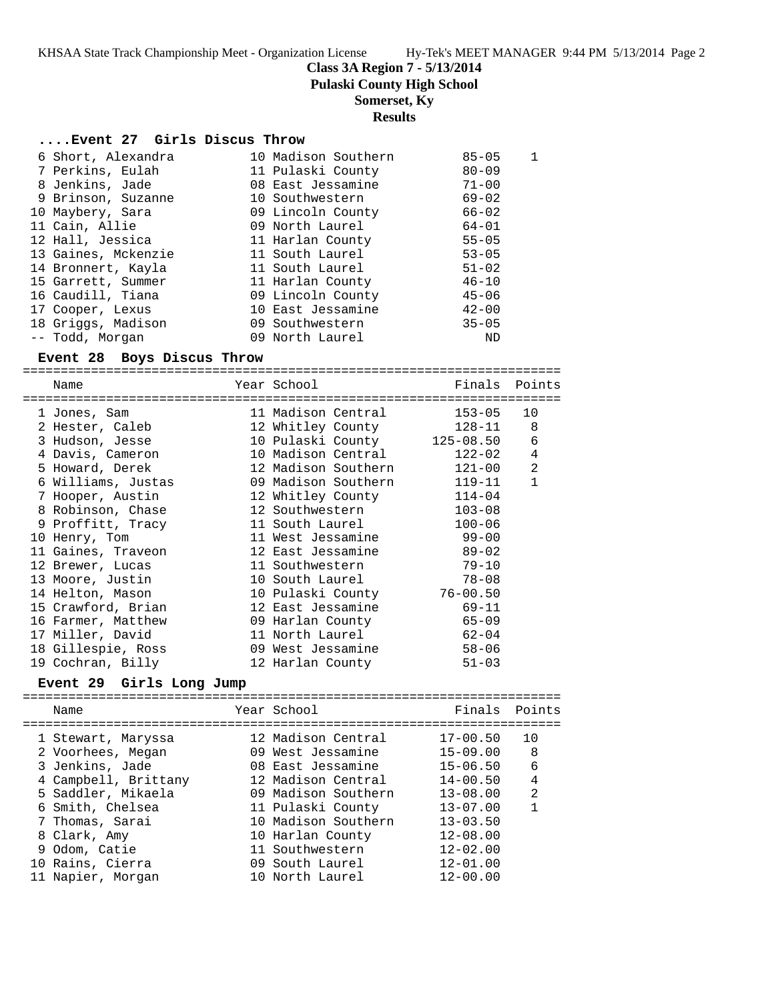**Class 3A Region 7 - 5/13/2014**

**Pulaski County High School**

**Somerset, Ky**

## **Results**

### **....Event 27 Girls Discus Throw**

| 6 Short, Alexandra  | 10 Madison Southern | $85 - 05$ |  |
|---------------------|---------------------|-----------|--|
| 7 Perkins, Eulah    | 11 Pulaski County   | $80 - 09$ |  |
| 8 Jenkins, Jade     | 08 East Jessamine   | $71 - 00$ |  |
| 9 Brinson, Suzanne  | 10 Southwestern     | $69 - 02$ |  |
| 10 Maybery, Sara    | 09 Lincoln County   | $66 - 02$ |  |
| 11 Cain, Allie      | 09 North Laurel     | $64 - 01$ |  |
| 12 Hall, Jessica    | 11 Harlan County    | $55 - 05$ |  |
| 13 Gaines, Mckenzie | 11 South Laurel     | $53 - 05$ |  |
| 14 Bronnert, Kayla  | 11 South Laurel     | $51 - 02$ |  |
| 15 Garrett, Summer  | 11 Harlan County    | $46 - 10$ |  |
| 16 Caudill, Tiana   | 09 Lincoln County   | $45 - 06$ |  |
| 17 Cooper, Lexus    | 10 East Jessamine   | $42 - 00$ |  |
| 18 Griggs, Madison  | 09 Southwestern     | $35 - 05$ |  |
| -- Todd, Morgan     | 09 North Laurel     | ND        |  |

#### **Event 28 Boys Discus Throw**

=======================================================================

| Name                                        | Year School                 | Finals     | Points         |
|---------------------------------------------|-----------------------------|------------|----------------|
| 1 Jones, Sam                                | 11 Madison Central          | 153-05     | 10             |
| 2 Hester, Caleb                             | 12 Whitley County           | 128-11     | 8              |
| 3 Hudson, Jesse                             | 10 Pulaski County 125-08.50 |            | 6              |
| 4 Davis, Cameron                            | 10 Madison Central          | 122-02     | $\overline{4}$ |
| 5 Howard, Derek                             | 12 Madison Southern         | 121-00     | 2              |
| 6 Williams, Justas 69 Madison Southern      |                             | 119-11     | $\mathbf{1}$   |
| 7 Hooper, Austin                            | 12 Whitley County           | $114 - 04$ |                |
| 8 Robinson, Chase                           | 12 Southwestern             | $103 - 08$ |                |
| 9 Proffitt, Tracy 11 South Laurel           |                             | $100 - 06$ |                |
| 10 Henry, Tom and 11 West Jessamine 99-00   |                             |            |                |
| 11 Gaines, Traveon                          | 12 East Jessamine 89-02     |            |                |
| 12 Brewer, Lucas                            | 11 Southwestern             | $79 - 10$  |                |
| 13 Moore, Justin                            | 10 South Laurel             | $78 - 08$  |                |
| 14 Helton, Mason 10 Pulaski County 76-00.50 |                             |            |                |
| 15 Crawford, Brian                          | 12 East Jessamine 69-11     |            |                |
| 16 Farmer, Matthew                          | 09 Harlan County            | 65-09      |                |
| 17 Miller, David                            | 11 North Laurel             | $62 - 04$  |                |
| 18 Gillespie, Ross                          | 09 West Jessamine           | $58 - 06$  |                |
| 19 Cochran, Billy                           | 12 Harlan County            | $51 - 03$  |                |

#### **Event 29 Girls Long Jump**

|  | Name                 | Year School         | Finals Points |                |
|--|----------------------|---------------------|---------------|----------------|
|  | 1 Stewart, Maryssa   | 12 Madison Central  | $17 - 00.50$  | 10             |
|  | 2 Voorhees, Megan    | 09 West Jessamine   | $15 - 09.00$  | 8              |
|  | 3 Jenkins, Jade      | 08 East Jessamine   | $15 - 06.50$  | 6              |
|  | 4 Campbell, Brittany | 12 Madison Central  | $14 - 00.50$  | $\overline{4}$ |
|  | 5 Saddler, Mikaela   | 09 Madison Southern | $13 - 08.00$  | $\mathfrak{D}$ |
|  | 6 Smith, Chelsea     | 11 Pulaski County   | $13 - 07.00$  | 1              |
|  | 7 Thomas, Sarai      | 10 Madison Southern | $13 - 03.50$  |                |
|  | 8 Clark, Amy         | 10 Harlan County    | $12 - 08.00$  |                |
|  | 9 Odom, Catie        | 11 Southwestern     | $12 - 02.00$  |                |
|  | 10 Rains, Cierra     | 09 South Laurel     | $12 - 01.00$  |                |
|  | 11 Napier, Morgan    | 10 North Laurel     | $12 - 00.00$  |                |
|  |                      |                     |               |                |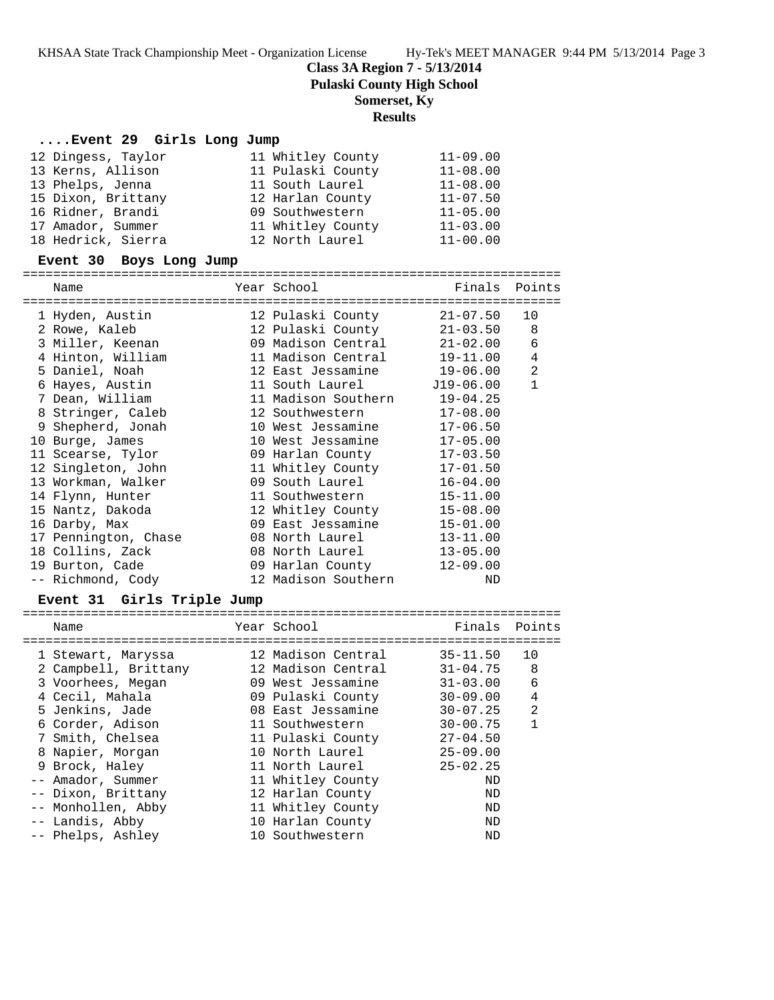**Class 3A Region 7 - 5/13/2014**

**Pulaski County High School**

## **Somerset, Ky**

## **Results**

### **....Event 29 Girls Long Jump**

| 12 Dingess, Taylor | 11 Whitley County | $11 - 09.00$ |
|--------------------|-------------------|--------------|
| 13 Kerns, Allison  | 11 Pulaski County | $11 - 08.00$ |
| 13 Phelps, Jenna   | 11 South Laurel   | $11 - 08.00$ |
| 15 Dixon, Brittany | 12 Harlan County  | $11 - 07.50$ |
| 16 Ridner, Brandi  | 09 Southwestern   | $11 - 05.00$ |
| 17 Amador, Summer  | 11 Whitley County | $11 - 03.00$ |
| 18 Hedrick, Sierra | 12 North Laurel   | $11 - 00.00$ |

### **Event 30 Boys Long Jump**

| ========================                                         | =======================    |               |                |
|------------------------------------------------------------------|----------------------------|---------------|----------------|
| Name                                                             | Year School                | Finals Points |                |
| 1 Hyden, Austin                                                  | 12 Pulaski County          | 21-07.50      | 10             |
| 2 Rowe, Kaleb 12 Pulaski County                                  |                            | $21 - 03.50$  | 8              |
| 3 Miller, Keenan                                                 | 09 Madison Central         | 21-02.00      | 6              |
|                                                                  |                            | 19-11.00      | $\overline{4}$ |
| 5 Daniel, Noah                                                   | 12 East Jessamine 19-06.00 |               | $\overline{2}$ |
| 6 Hayes, Austin                                                  | 11 South Laurel 519-06.00  |               | $\mathbf{1}$   |
| 7 Dean, William 11 Madison Southern                              |                            | $19 - 04.25$  |                |
| 8 Stringer, Caleb                                                | 12 Southwestern            | $17 - 08.00$  |                |
| 9 Shepherd, Jonah 10 West Jessamine                              |                            | $17 - 06.50$  |                |
| 10 Burge, James                                                  | 10 West Jessamine          | $17 - 05.00$  |                |
| 11 Scearse, Tylor                                                | 09 Harlan County           | $17 - 03.50$  |                |
| 12 Singleton, John 11 Whitley County                             |                            | $17 - 01.50$  |                |
| 13 Workman, Walker 69 South Laurel                               |                            | $16 - 04.00$  |                |
| 14 Flynn, Hunter                                                 | 11 Southwestern            | $15 - 11.00$  |                |
| 15 Nantz, Dakoda 12 Whitley County                               |                            | $15 - 08.00$  |                |
| 16 Darby, Max                                                    | 09 East Jessamine          | $15 - 01.00$  |                |
| 17 Pennington, Chase                                             | 08 North Laurel            | $13 - 11.00$  |                |
| 18 Collins, Zack 608 North Laurel                                |                            | $13 - 05.00$  |                |
| 19 Burton, Cade                                 09 Harlan County |                            | $12 - 09.00$  |                |
| -- Richmond, Cody                                                | 12 Madison Southern        | ND            |                |

### **Event 31 Girls Triple Jump**

| Name                 | Year School        | Finals       | Points |
|----------------------|--------------------|--------------|--------|
|                      |                    |              |        |
| 1 Stewart, Maryssa   | 12 Madison Central | $35 - 11.50$ | 10     |
| 2 Campbell, Brittany | 12 Madison Central | $31 - 04.75$ | 8      |
| 3 Voorhees, Megan    | 09 West Jessamine  | $31 - 03.00$ | 6      |
| 4 Cecil, Mahala      | 09 Pulaski County  | $30 - 09.00$ | 4      |
| 5 Jenkins, Jade      | 08 East Jessamine  | $30 - 07.25$ | 2      |
| 6 Corder, Adison     | 11 Southwestern    | $30 - 00.75$ | 1      |
| 7 Smith, Chelsea     | 11 Pulaski County  | $27 - 04.50$ |        |
| 8 Napier, Morgan     | 10 North Laurel    | $25 - 09.00$ |        |
| 9 Brock, Haley       | 11 North Laurel    | $25 - 02.25$ |        |
| -- Amador, Summer    | 11 Whitley County  | ND           |        |
| -- Dixon, Brittany   | 12 Harlan County   | ND           |        |
| -- Monhollen, Abby   | 11 Whitley County  | ND           |        |
| -- Landis, Abby      | 10 Harlan County   | ND           |        |
| -- Phelps, Ashley    | 10 Southwestern    | ND           |        |
|                      |                    |              |        |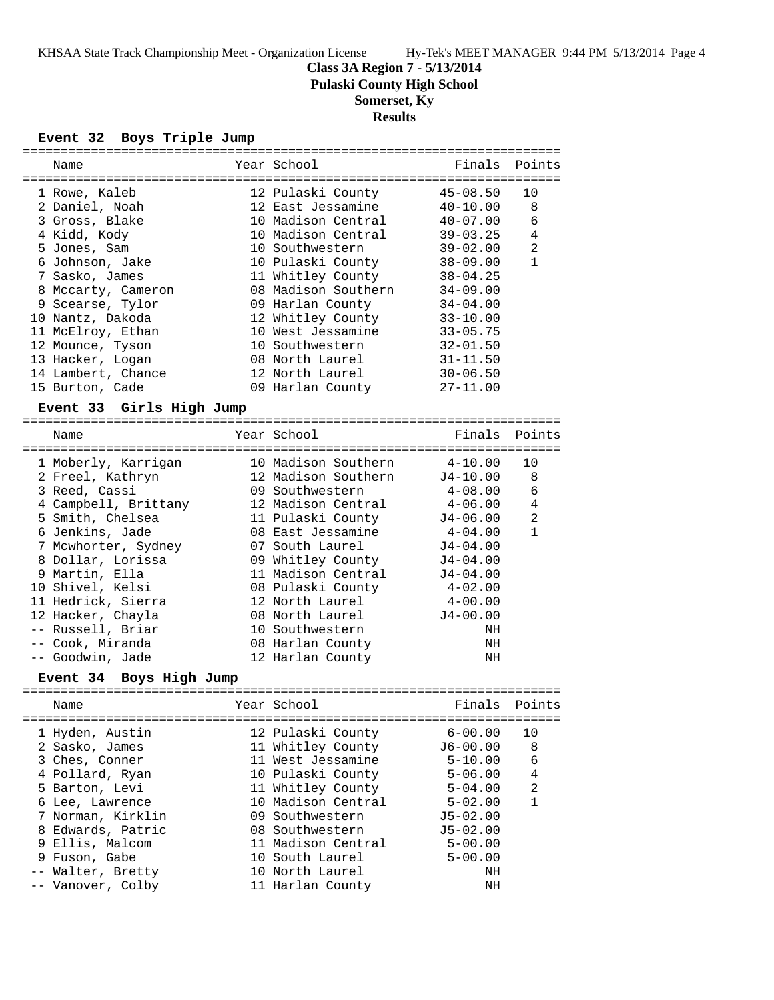**Class 3A Region 7 - 5/13/2014**

**Pulaski County High School**

# **Somerset, Ky**

# **Results**

### **Event 32 Boys Triple Jump**

| ==============                      |                     |                                 |                |
|-------------------------------------|---------------------|---------------------------------|----------------|
| Name                                | Year School         | Finals                          | Points         |
|                                     |                     |                                 |                |
| 1 Rowe, Kaleb                       | 12 Pulaski County   | $45 - 08.50$                    | 10             |
| 2 Daniel, Noah                      | 12 East Jessamine   | $40 - 10.00$                    | 8              |
| 3 Gross, Blake                      | 10 Madison Central  | $40 - 07.00$                    | 6              |
| 4 Kidd, Kody                        | 10 Madison Central  | $39 - 03.25$                    | 4              |
| 5 Jones, Sam                        | 10 Southwestern     | $39 - 02.00$                    | $\overline{2}$ |
| 6 Johnson, Jake                     | 10 Pulaski County   | $38 - 09.00$                    | $\mathbf{1}$   |
| 7 Sasko, James                      | 11 Whitley County   | $38 - 04.25$                    |                |
| 8 Mccarty, Cameron                  | 08 Madison Southern | $34 - 09.00$                    |                |
| 9 Scearse, Tylor                    | 09 Harlan County    | $34 - 04.00$                    |                |
| 10 Nantz, Dakoda                    | 12 Whitley County   | $33 - 10.00$                    |                |
| 11 McElroy, Ethan                   | 10 West Jessamine   | $33 - 05.75$                    |                |
| 12 Mounce, Tyson                    | 10 Southwestern     | $32 - 01.50$                    |                |
| 13 Hacker, Logan                    | 08 North Laurel     | $31 - 11.50$                    |                |
| 14 Lambert, Chance                  | 12 North Laurel     | $30 - 06.50$                    |                |
| 15 Burton, Cade                     | 09 Harlan County    | $27 - 11.00$                    |                |
|                                     |                     |                                 |                |
| Event 33 Girls High Jump            |                     |                                 |                |
|                                     |                     |                                 |                |
| Name                                | Year School         | Finals                          | Points         |
|                                     |                     |                                 |                |
| 1 Moberly, Karrigan                 | 10 Madison Southern | $4 - 10.00$                     | 10             |
| 2 Freel, Kathryn                    | 12 Madison Southern | J4-10.00                        | 8              |
| 3 Reed, Cassi                       | 09 Southwestern     | $4-08.00$                       | 6              |
| 4 Campbell, Brittany                | 12 Madison Central  | 4-06.00                         | 4              |
| 5 Smith, Chelsea                    | 11 Pulaski County   | $J4 - 06.00$                    | 2              |
| 6 Jenkins, Jade                     | 08 East Jessamine   | 4-04.00                         | $\mathbf{1}$   |
| 7 Mcwhorter, Sydney                 | 07 South Laurel     | $J4 - 04.00$                    |                |
| 8 Dollar, Lorissa                   | 09 Whitley County   | J4-04.00                        |                |
| 9 Martin, Ella                      | 11 Madison Central  | $J4 - 04.00$                    |                |
| 10 Shivel, Kelsi                    | 08 Pulaski County   | $4 - 02.00$                     |                |
| 11 Hedrick, Sierra                  | 12 North Laurel     | $4 - 00.00$                     |                |
| 12 Hacker, Chayla                   | 08 North Laurel     | $J4 - 00.00$                    |                |
| -- Russell, Briar                   | 10 Southwestern     | ΝH                              |                |
| -- Cook, Miranda                    |                     | ΝH                              |                |
|                                     | 08 Harlan County    |                                 |                |
| -- Goodwin, Jade                    | 12 Harlan County    | ΝH                              |                |
| Event 34 Boys High Jump             |                     |                                 |                |
| Name                                | Year School         | Finals                          | Points         |
| =================================== |                     | =============================== |                |
| 1 Hyden, Austin                     | 12 Pulaski County   | $6 - 00.00$                     | 10             |
| 2 Sasko, James                      | 11 Whitley County   | $J6 - 00.00$                    | 8              |
| 3 Ches, Conner                      | 11 West Jessamine   | $5 - 10.00$                     | 6              |
| 4 Pollard, Ryan                     | 10 Pulaski County   | $5 - 06.00$                     | 4              |
| 5 Barton, Levi                      | 11 Whitley County   | $5 - 04.00$                     | $\overline{2}$ |
| 6 Lee, Lawrence                     | 10 Madison Central  | $5 - 02.00$                     | $\mathbf{1}$   |
| 7 Norman, Kirklin                   | 09 Southwestern     | $J5 - 02.00$                    |                |
| 8 Edwards, Patric                   | 08 Southwestern     | $J5 - 02.00$                    |                |
|                                     |                     |                                 |                |
| 9 Ellis, Malcom                     | 11 Madison Central  | $5 - 00.00$                     |                |
| 9 Fuson, Gabe                       | 10 South Laurel     | $5 - 00.00$                     |                |
| -- Walter, Bretty                   | 10 North Laurel     | ΝH                              |                |
| -- Vanover, Colby                   | 11 Harlan County    | ΝH                              |                |